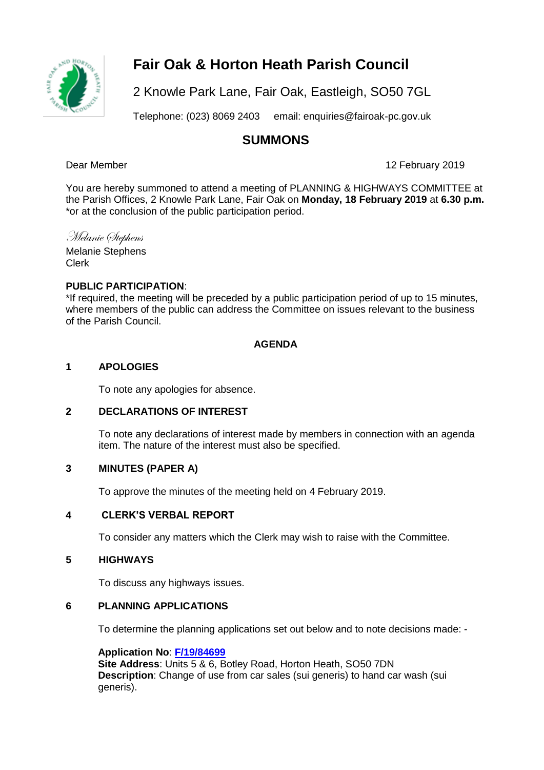

# **Fair Oak & Horton Heath Parish Council**

2 Knowle Park Lane, Fair Oak, Eastleigh, SO50 7GL

Telephone: (023) 8069 2403 email: enquiries@fairoak-pc.gov.uk

# **SUMMONS**

Dear Member 12 February 2019

You are hereby summoned to attend a meeting of PLANNING & HIGHWAYS COMMITTEE at the Parish Offices, 2 Knowle Park Lane, Fair Oak on **Monday, 18 February 2019** at **6.30 p.m.**  \*or at the conclusion of the public participation period.

Melanie Stephens

Melanie Stephens Clerk

# **PUBLIC PARTICIPATION**:

\*If required, the meeting will be preceded by a public participation period of up to 15 minutes, where members of the public can address the Committee on issues relevant to the business of the Parish Council.

# **AGENDA**

# **1 APOLOGIES**

To note any apologies for absence.

# **2 DECLARATIONS OF INTEREST**

To note any declarations of interest made by members in connection with an agenda item. The nature of the interest must also be specified.

# **3 MINUTES (PAPER A)**

To approve the minutes of the meeting held on 4 February 2019.

# **4 CLERK'S VERBAL REPORT**

To consider any matters which the Clerk may wish to raise with the Committee.

#### **5 HIGHWAYS**

To discuss any highways issues.

#### **6 PLANNING APPLICATIONS**

To determine the planning applications set out below and to note decisions made: -

# **Application No**: **[F/19/84699](https://planning.eastleigh.gov.uk/s/papplication/a1M1v000004IsPc)**

**Site Address**: Units 5 & 6, Botley Road, Horton Heath, SO50 7DN **Description**: Change of use from car sales (sui generis) to hand car wash (sui generis).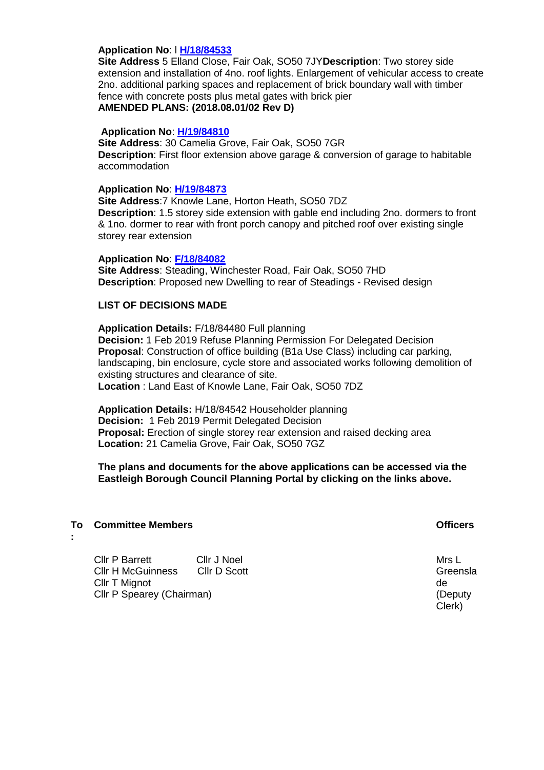#### **Application No**: l **[H/18/84533](https://planning.eastleigh.gov.uk/s/papplication/a1M1v000004Iiy9)**

**Site Address** 5 Elland Close, Fair Oak, SO50 7JY**Description**: Two storey side extension and installation of 4no. roof lights. Enlargement of vehicular access to create 2no. additional parking spaces and replacement of brick boundary wall with timber fence with concrete posts plus metal gates with brick pier **AMENDED PLANS: (2018.08.01/02 Rev D)**

#### **Application No**: **[H/19/84810](https://planning.eastleigh.gov.uk/s/papplication/a1M1v000004IuFM)**

**Site Address**: 30 Camelia Grove, Fair Oak, SO50 7GR **Description**: First floor extension above garage & conversion of garage to habitable accommodation

#### **Application No**: **[H/19/84873](https://planning.eastleigh.gov.uk/s/papplication/a1M1v000005GPHe)**

**Site Address**:7 Knowle Lane, Horton Heath, SO50 7DZ **Description**: 1.5 storey side extension with gable end including 2no. dormers to front & 1no. dormer to rear with front porch canopy and pitched roof over existing single storey rear extension

#### **Application No**: **[F/18/84082](https://planning.eastleigh.gov.uk/s/papplication/a1M1v0000041AHi)**

**Site Address**: Steading, Winchester Road, Fair Oak, SO50 7HD **Description**: Proposed new Dwelling to rear of Steadings - Revised design

#### **LIST OF DECISIONS MADE**

**Application Details:** F/18/84480 Full planning **Decision:** 1 Feb 2019 Refuse Planning Permission For Delegated Decision **Proposal**: Construction of office building (B1a Use Class) including car parking, landscaping, bin enclosure, cycle store and associated works following demolition of existing structures and clearance of site. **Location** : Land East of Knowle Lane, Fair Oak, SO50 7DZ

**Application Details:** H/18/84542 Householder planning **Decision:** 1 Feb 2019 Permit Delegated Decision **Proposal:** Erection of single storey rear extension and raised decking area **Location:** 21 Camelia Grove, Fair Oak, SO50 7GZ

**The plans and documents for the above applications can be accessed via the Eastleigh Borough Council Planning Portal by clicking on the links above.**

#### **To Committee Members Officers**

**:**

Cllr P Barrett Cllr J Noel Cllr H McGuinness Cllr D Scott Cllr T Mignot Cllr P Spearey (Chairman)

Mrs L Greensla de (Deputy Clerk)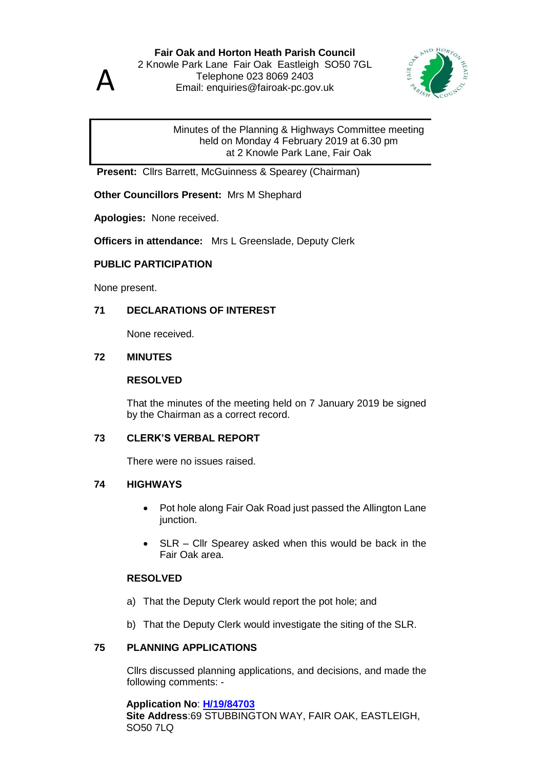

#### Minutes of the Planning & Highways Committee meeting held on Monday 4 February 2019 at 6.30 pm at 2 Knowle Park Lane, Fair Oak

**Present:** Cllrs Barrett, McGuinness & Spearey (Chairman)

**Other Councillors Present:** Mrs M Shephard

**Apologies:** None received.

**Officers in attendance:** Mrs L Greenslade, Deputy Clerk

# **PUBLIC PARTICIPATION**

None present.

# **71 DECLARATIONS OF INTEREST**

None received.

#### **72 MINUTES**

#### **RESOLVED**

That the minutes of the meeting held on 7 January 2019 be signed by the Chairman as a correct record.

#### **73 CLERK'S VERBAL REPORT**

There were no issues raised.

#### **74 HIGHWAYS**

- Pot hole along Fair Oak Road just passed the Allington Lane junction.
- SLR Cllr Spearey asked when this would be back in the Fair Oak area.

#### **RESOLVED**

- a) That the Deputy Clerk would report the pot hole; and
- b) That the Deputy Clerk would investigate the siting of the SLR.

# **75 PLANNING APPLICATIONS**

Cllrs discussed planning applications, and decisions, and made the following comments: -

#### **Application No**: **[H/19/84703](https://planning.eastleigh.gov.uk/s/papplication/a1M1v000004IsaL)**

**Site Address**:69 STUBBINGTON WAY, FAIR OAK, EASTLEIGH, SO50 7LQ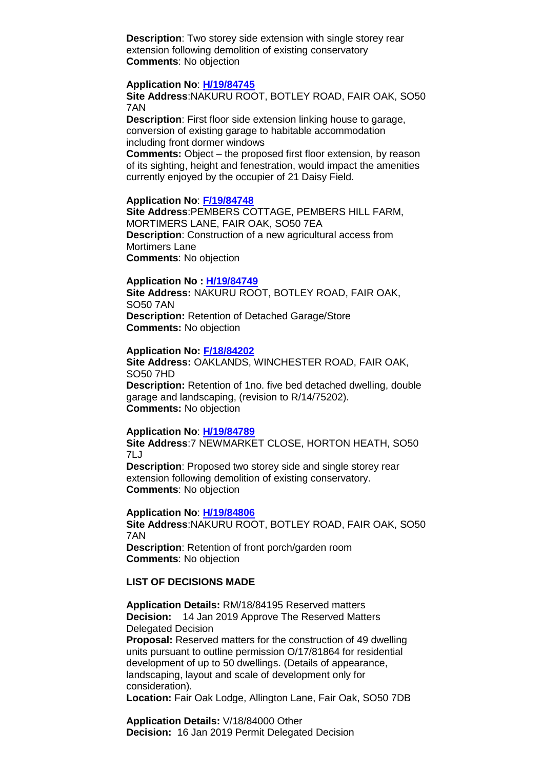**Description**: Two storey side extension with single storey rear extension following demolition of existing conservatory **Comments**: No objection

#### **Application No**: **[H/19/84745](https://planning.eastleigh.gov.uk/s/papplication/a1M1v000004ItJk)**

**Site Address**:NAKURU ROOT, BOTLEY ROAD, FAIR OAK, SO50 7AN

**Description**: First floor side extension linking house to garage, conversion of existing garage to habitable accommodation including front dormer windows

**Comments:** Object – the proposed first floor extension, by reason of its sighting, height and fenestration, would impact the amenities currently enjoyed by the occupier of 21 Daisy Field.

#### **Application No**: **[F/19/84748](https://planning.eastleigh.gov.uk/s/papplication/a1M1v000004ItUn)**

**Site Address**:PEMBERS COTTAGE, PEMBERS HILL FARM, MORTIMERS LANE, FAIR OAK, SO50 7EA **Description**: Construction of a new agricultural access from Mortimers Lane **Comments**: No objection

#### **Application No : [H/19/84749](https://planning.eastleigh.gov.uk/s/public-register)**

**Site Address:** NAKURU ROOT, BOTLEY ROAD, FAIR OAK, SO50 7AN **Description:** Retention of Detached Garage/Store **Comments:** No objection

#### **Application No: [F/18/84202](https://planning.eastleigh.gov.uk/s/public-register)**

**Site Address:** OAKLANDS, WINCHESTER ROAD, FAIR OAK, SO50 7HD **Description:** Retention of 1no. five bed detached dwelling, double garage and landscaping, (revision to R/14/75202).

**Comments:** No objection

#### **Application No**: **[H/19/84789](https://planning.eastleigh.gov.uk/s/papplication/a1M1v000004Itu9)**

**Site Address**:7 NEWMARKET CLOSE, HORTON HEATH, SO50 7LJ

**Description**: Proposed two storey side and single storey rear extension following demolition of existing conservatory. **Comments**: No objection

#### **Application No**: **[H/19/84806](https://planning.eastleigh.gov.uk/s/papplication/a1M1v000004Iu4h)**

**Site Address**:NAKURU ROOT, BOTLEY ROAD, FAIR OAK, SO50 7AN **Description**: Retention of front porch/garden room **Comments**: No objection

#### **LIST OF DECISIONS MADE**

**Application Details:** RM/18/84195 Reserved matters **Decision:** 14 Jan 2019 Approve The Reserved Matters Delegated Decision **Proposal:** Reserved matters for the construction of 49 dwelling units pursuant to outline permission O/17/81864 for residential development of up to 50 dwellings. (Details of appearance, landscaping, layout and scale of development only for consideration).

**Location:** Fair Oak Lodge, Allington Lane, Fair Oak, SO50 7DB

**Application Details:** V/18/84000 Other **Decision:** 16 Jan 2019 Permit Delegated Decision